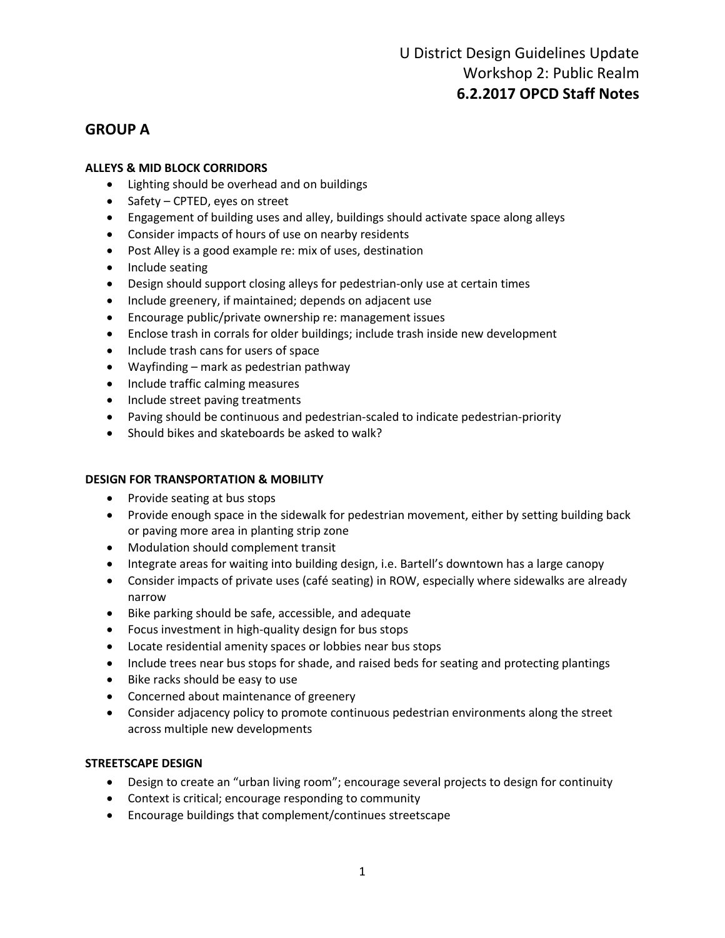### **GROUP A**

#### **ALLEYS & MID BLOCK CORRIDORS**

- Lighting should be overhead and on buildings
- Safety CPTED, eyes on street
- Engagement of building uses and alley, buildings should activate space along alleys
- Consider impacts of hours of use on nearby residents
- Post Alley is a good example re: mix of uses, destination
- Include seating
- Design should support closing alleys for pedestrian-only use at certain times
- Include greenery, if maintained; depends on adjacent use
- Encourage public/private ownership re: management issues
- Enclose trash in corrals for older buildings; include trash inside new development
- Include trash cans for users of space
- Wayfinding mark as pedestrian pathway
- Include traffic calming measures
- Include street paving treatments
- Paving should be continuous and pedestrian-scaled to indicate pedestrian-priority
- Should bikes and skateboards be asked to walk?

#### **DESIGN FOR TRANSPORTATION & MOBILITY**

- Provide seating at bus stops
- Provide enough space in the sidewalk for pedestrian movement, either by setting building back or paving more area in planting strip zone
- Modulation should complement transit
- Integrate areas for waiting into building design, i.e. Bartell's downtown has a large canopy
- Consider impacts of private uses (café seating) in ROW, especially where sidewalks are already narrow
- Bike parking should be safe, accessible, and adequate
- Focus investment in high-quality design for bus stops
- Locate residential amenity spaces or lobbies near bus stops
- Include trees near bus stops for shade, and raised beds for seating and protecting plantings
- Bike racks should be easy to use
- Concerned about maintenance of greenery
- Consider adjacency policy to promote continuous pedestrian environments along the street across multiple new developments

#### **STREETSCAPE DESIGN**

- Design to create an "urban living room"; encourage several projects to design for continuity
- Context is critical; encourage responding to community
- Encourage buildings that complement/continues streetscape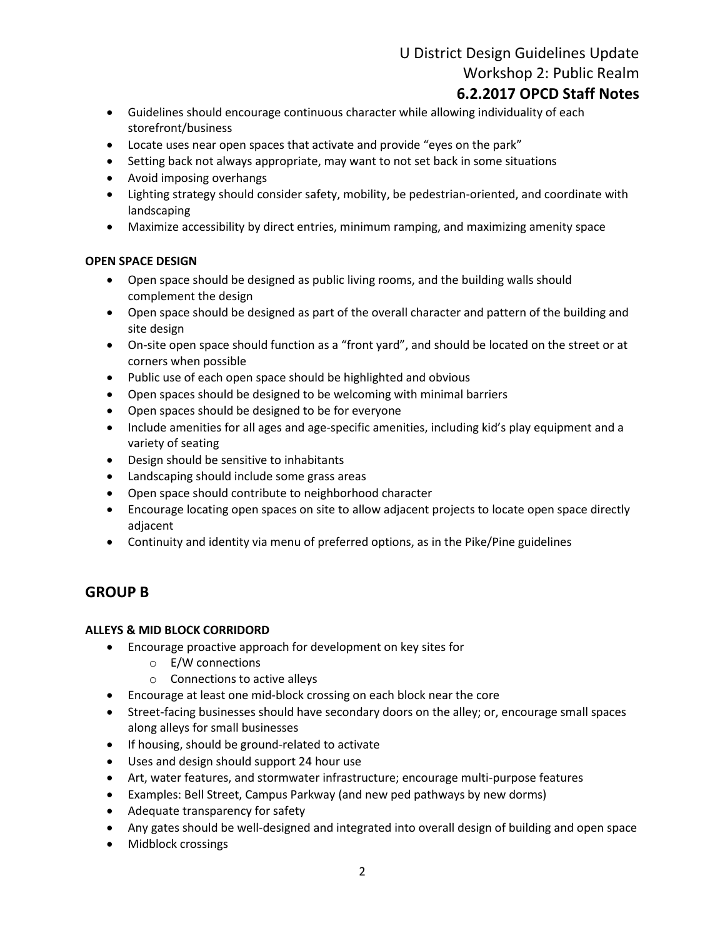# U District Design Guidelines Update Workshop 2: Public Realm

## **6.2.2017 OPCD Staff Notes**

- Guidelines should encourage continuous character while allowing individuality of each storefront/business
- Locate uses near open spaces that activate and provide "eyes on the park"
- Setting back not always appropriate, may want to not set back in some situations
- Avoid imposing overhangs
- Lighting strategy should consider safety, mobility, be pedestrian-oriented, and coordinate with landscaping
- Maximize accessibility by direct entries, minimum ramping, and maximizing amenity space

#### **OPEN SPACE DESIGN**

- Open space should be designed as public living rooms, and the building walls should complement the design
- Open space should be designed as part of the overall character and pattern of the building and site design
- On-site open space should function as a "front yard", and should be located on the street or at corners when possible
- Public use of each open space should be highlighted and obvious
- Open spaces should be designed to be welcoming with minimal barriers
- Open spaces should be designed to be for everyone
- Include amenities for all ages and age-specific amenities, including kid's play equipment and a variety of seating
- Design should be sensitive to inhabitants
- Landscaping should include some grass areas
- Open space should contribute to neighborhood character
- Encourage locating open spaces on site to allow adjacent projects to locate open space directly adjacent
- Continuity and identity via menu of preferred options, as in the Pike/Pine guidelines

### **GROUP B**

#### **ALLEYS & MID BLOCK CORRIDORD**

- Encourage proactive approach for development on key sites for
	- o E/W connections
	- o Connections to active alleys
- Encourage at least one mid-block crossing on each block near the core
- Street-facing businesses should have secondary doors on the alley; or, encourage small spaces along alleys for small businesses
- If housing, should be ground-related to activate
- Uses and design should support 24 hour use
- Art, water features, and stormwater infrastructure; encourage multi-purpose features
- Examples: Bell Street, Campus Parkway (and new ped pathways by new dorms)
- Adequate transparency for safety
- Any gates should be well-designed and integrated into overall design of building and open space
- Midblock crossings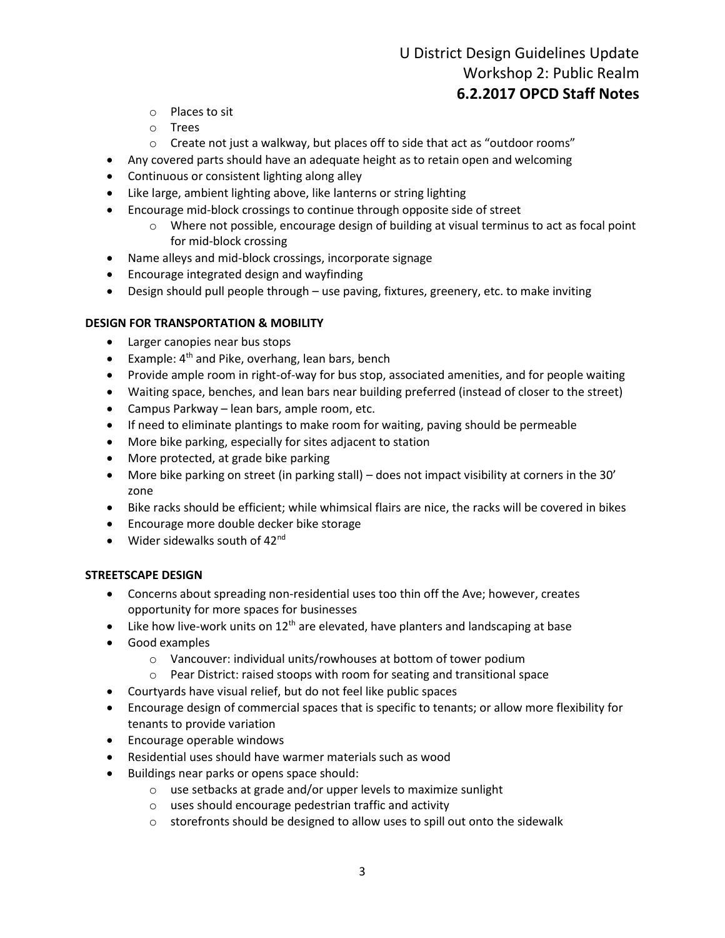### U District Design Guidelines Update Workshop 2: Public Realm **6.2.2017 OPCD Staff Notes**

- o Places to sit
- o Trees
- o Create not just a walkway, but places off to side that act as "outdoor rooms"
- Any covered parts should have an adequate height as to retain open and welcoming
- Continuous or consistent lighting along alley
- Like large, ambient lighting above, like lanterns or string lighting
- Encourage mid-block crossings to continue through opposite side of street
	- o Where not possible, encourage design of building at visual terminus to act as focal point for mid-block crossing
- Name alleys and mid-block crossings, incorporate signage
- Encourage integrated design and wayfinding
- Design should pull people through use paving, fixtures, greenery, etc. to make inviting

#### **DESIGN FOR TRANSPORTATION & MOBILITY**

- Larger canopies near bus stops
- **•** Example:  $4<sup>th</sup>$  and Pike, overhang, lean bars, bench
- Provide ample room in right-of-way for bus stop, associated amenities, and for people waiting
- Waiting space, benches, and lean bars near building preferred (instead of closer to the street)
- Campus Parkway lean bars, ample room, etc.
- If need to eliminate plantings to make room for waiting, paving should be permeable
- More bike parking, especially for sites adjacent to station
- More protected, at grade bike parking
- More bike parking on street (in parking stall) does not impact visibility at corners in the 30' zone
- Bike racks should be efficient; while whimsical flairs are nice, the racks will be covered in bikes
- Encourage more double decker bike storage
- Wider sidewalks south of  $42<sup>nd</sup>$

#### **STREETSCAPE DESIGN**

- Concerns about spreading non-residential uses too thin off the Ave; however, creates opportunity for more spaces for businesses
- Like how live-work units on  $12<sup>th</sup>$  are elevated, have planters and landscaping at base
- Good examples
	- o Vancouver: individual units/rowhouses at bottom of tower podium
	- o Pear District: raised stoops with room for seating and transitional space
- Courtyards have visual relief, but do not feel like public spaces
- Encourage design of commercial spaces that is specific to tenants; or allow more flexibility for tenants to provide variation
- Encourage operable windows
- Residential uses should have warmer materials such as wood
- Buildings near parks or opens space should:
	- o use setbacks at grade and/or upper levels to maximize sunlight
	- o uses should encourage pedestrian traffic and activity
	- o storefronts should be designed to allow uses to spill out onto the sidewalk